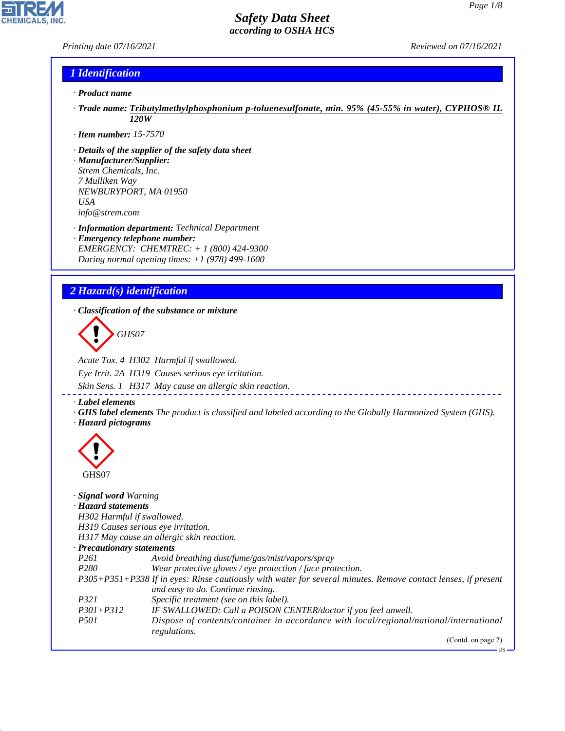*Printing date 07/16/2021 Reviewed on 07/16/2021*

**CHEMICALS, INC** 

# *1 Identification*

- *· Product name*
- *· Trade name: Tributylmethylphosphonium p-toluenesulfonate, min. 95% (45-55% in water), CYPHOS® IL 120W*
- *· Item number: 15-7570*
- *· Details of the supplier of the safety data sheet · Manufacturer/Supplier: Strem Chemicals, Inc.*
- *7 Mulliken Way NEWBURYPORT, MA 01950 USA info@strem.com*
- *· Information department: Technical Department · Emergency telephone number: EMERGENCY: CHEMTREC: + 1 (800) 424-9300*
- *During normal opening times: +1 (978) 499-1600*

# *2 Hazard(s) identification*

*· Classification of the substance or mixture*

d~*GHS07*

*Acute Tox. 4 H302 Harmful if swallowed. Eye Irrit. 2A H319 Causes serious eye irritation. Skin Sens. 1 H317 May cause an allergic skin reaction.*

*· Label elements*

*· GHS label elements The product is classified and labeled according to the Globally Harmonized System (GHS). · Hazard pictograms*



44.1.1

| $\checkmark$<br>GHS07               |                                                                                                               |
|-------------------------------------|---------------------------------------------------------------------------------------------------------------|
| Signal word Warning                 |                                                                                                               |
| · Hazard statements                 |                                                                                                               |
| H302 Harmful if swallowed.          |                                                                                                               |
| H319 Causes serious eye irritation. |                                                                                                               |
|                                     | H317 May cause an allergic skin reaction.                                                                     |
| $\cdot$ Precautionary statements    |                                                                                                               |
| <i>P261</i>                         | Avoid breathing dust/fume/gas/mist/vapors/spray                                                               |
| P <sub>280</sub>                    | Wear protective gloves / eye protection / face protection.                                                    |
|                                     | P305+P351+P338 If in eyes: Rinse cautiously with water for several minutes. Remove contact lenses, if present |
|                                     | and easy to do. Continue rinsing.                                                                             |
| <i>P321</i>                         | Specific treatment (see on this label).                                                                       |
| $P301 + P312$                       | IF SWALLOWED: Call a POISON CENTER/doctor if you feel unwell.                                                 |
| <i>P501</i>                         | Dispose of contents/container in accordance with local/regional/national/international<br>regulations.        |
|                                     | (Contd. on page 2)                                                                                            |
|                                     | -US                                                                                                           |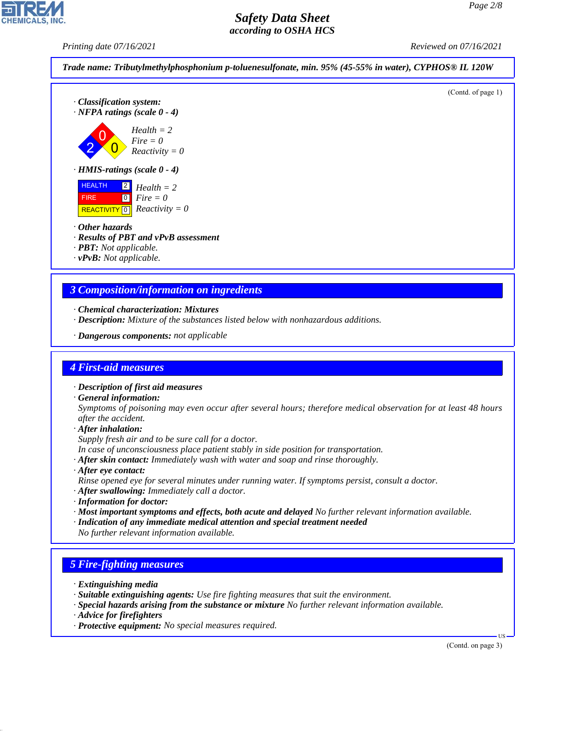

- *In case of unconsciousness place patient stably in side position for transportation.*
- *· After skin contact: Immediately wash with water and soap and rinse thoroughly.*
- *· After eye contact:*
- *Rinse opened eye for several minutes under running water. If symptoms persist, consult a doctor.*
- *· After swallowing: Immediately call a doctor.*
- *· Information for doctor:*
- *· Most important symptoms and effects, both acute and delayed No further relevant information available.*
- *· Indication of any immediate medical attention and special treatment needed*
- *No further relevant information available.*

# *5 Fire-fighting measures*

- *· Extinguishing media*
- *· Suitable extinguishing agents: Use fire fighting measures that suit the environment.*
- *· Special hazards arising from the substance or mixture No further relevant information available.*
- *· Advice for firefighters*

44.1.1

*· Protective equipment: No special measures required.*

(Contd. on page 3)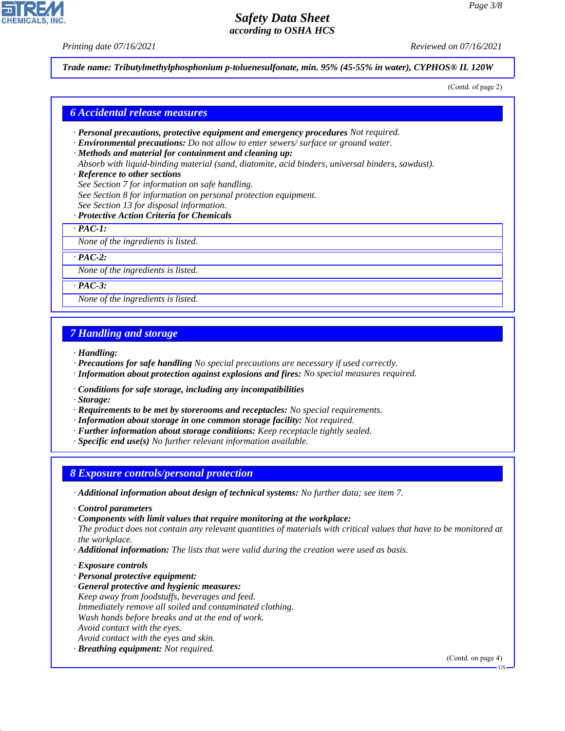*Printing date 07/16/2021 Reviewed on 07/16/2021*

*Trade name: Tributylmethylphosphonium p-toluenesulfonate, min. 95% (45-55% in water), CYPHOS® IL 120W*

(Contd. of page 2)

## *6 Accidental release measures*

- *· Personal precautions, protective equipment and emergency procedures Not required.*
- *· Environmental precautions: Do not allow to enter sewers/ surface or ground water.*

*· Methods and material for containment and cleaning up:*

*Absorb with liquid-binding material (sand, diatomite, acid binders, universal binders, sawdust).*

#### *· Reference to other sections*

- *See Section 7 for information on safe handling.*
- *See Section 8 for information on personal protection equipment.*
- *See Section 13 for disposal information.*

## *· Protective Action Criteria for Chemicals*

*· PAC-1:*

*None of the ingredients is listed.*

*· PAC-2:*

*None of the ingredients is listed.*

*· PAC-3:*

*None of the ingredients is listed.*

## *7 Handling and storage*

*· Handling:*

- *· Precautions for safe handling No special precautions are necessary if used correctly.*
- *· Information about protection against explosions and fires: No special measures required.*
- *· Conditions for safe storage, including any incompatibilities*
- *· Storage:*
- *· Requirements to be met by storerooms and receptacles: No special requirements.*
- *· Information about storage in one common storage facility: Not required.*
- *· Further information about storage conditions: Keep receptacle tightly sealed.*
- *· Specific end use(s) No further relevant information available.*

## *8 Exposure controls/personal protection*

- *· Additional information about design of technical systems: No further data; see item 7.*
- *· Control parameters*
- *· Components with limit values that require monitoring at the workplace:*

*The product does not contain any relevant quantities of materials with critical values that have to be monitored at the workplace.*

- *· Additional information: The lists that were valid during the creation were used as basis.*
- *· Exposure controls*

44.1.1

- *· Personal protective equipment:*
- *· General protective and hygienic measures: Keep away from foodstuffs, beverages and feed. Immediately remove all soiled and contaminated clothing. Wash hands before breaks and at the end of work. Avoid contact with the eyes. Avoid contact with the eyes and skin.*
- *· Breathing equipment: Not required.*

(Contd. on page 4)

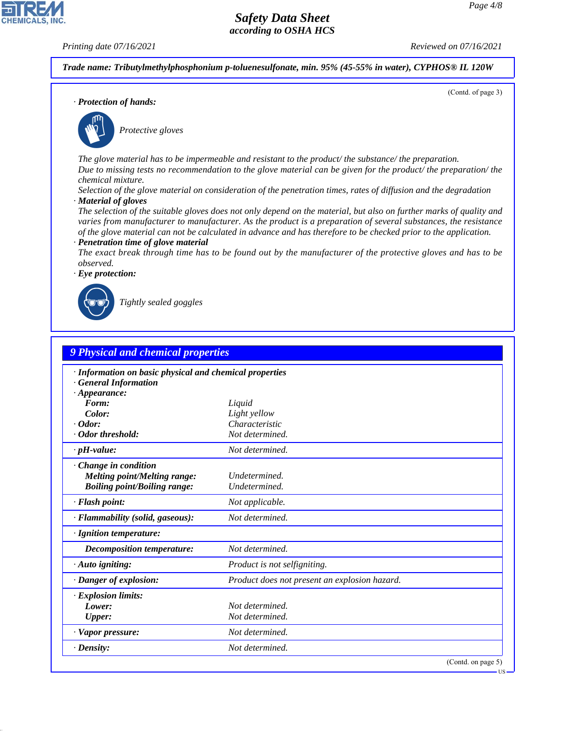**CHEMICALS, INC** 

*Printing date 07/16/2021 Reviewed on 07/16/2021*

(Contd. of page 3)

*Trade name: Tributylmethylphosphonium p-toluenesulfonate, min. 95% (45-55% in water), CYPHOS® IL 120W*

*· Protection of hands:*



\_S*Protective gloves*

*The glove material has to be impermeable and resistant to the product/ the substance/ the preparation. Due to missing tests no recommendation to the glove material can be given for the product/ the preparation/ the chemical mixture.*

*Selection of the glove material on consideration of the penetration times, rates of diffusion and the degradation · Material of gloves*

*The selection of the suitable gloves does not only depend on the material, but also on further marks of quality and varies from manufacturer to manufacturer. As the product is a preparation of several substances, the resistance of the glove material can not be calculated in advance and has therefore to be checked prior to the application. · Penetration time of glove material*

*The exact break through time has to be found out by the manufacturer of the protective gloves and has to be observed.*

*· Eye protection:*



44.1.1

\_R*Tightly sealed goggles*

| 9 Physical and chemical properties                                                                           |                                               |
|--------------------------------------------------------------------------------------------------------------|-----------------------------------------------|
| · Information on basic physical and chemical properties<br><b>General Information</b><br>$\cdot$ Appearance: |                                               |
| Form:                                                                                                        | Liquid                                        |
| Color:                                                                                                       | Light yellow                                  |
| $\cdot$ Odor:                                                                                                | Characteristic                                |
| · Odor threshold:                                                                                            | Not determined.                               |
| $\cdot$ pH-value:                                                                                            | Not determined.                               |
| Change in condition<br><b>Melting point/Melting range:</b><br><b>Boiling point/Boiling range:</b>            | Undetermined.<br>Undetermined.                |
| $\cdot$ Flash point:                                                                                         | Not applicable.                               |
| · Flammability (solid, gaseous):                                                                             | Not determined.                               |
| · Ignition temperature:                                                                                      |                                               |
| <b>Decomposition temperature:</b>                                                                            | Not determined.                               |
| $\cdot$ Auto igniting:                                                                                       | Product is not selfigniting.                  |
| · Danger of explosion:                                                                                       | Product does not present an explosion hazard. |
| <b>Explosion limits:</b><br>Lower:<br>Upper:                                                                 | Not determined.<br>Not determined.            |
| · Vapor pressure:                                                                                            | Not determined.                               |
| $\cdot$ Density:                                                                                             | Not determined.                               |
|                                                                                                              | (Contd. on page 5)                            |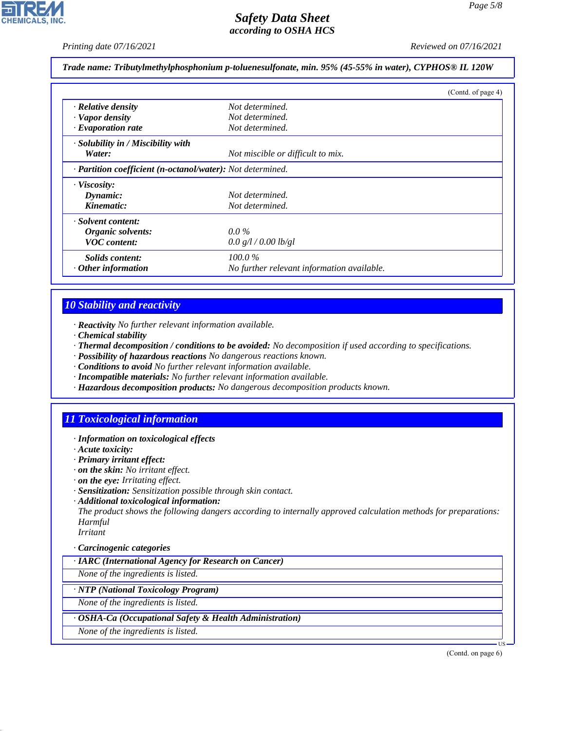*Printing date 07/16/2021 Reviewed on 07/16/2021*

*Trade name: Tributylmethylphosphonium p-toluenesulfonate, min. 95% (45-55% in water), CYPHOS® IL 120W*

|                                                            |                                            | (Contd. of page 4) |
|------------------------------------------------------------|--------------------------------------------|--------------------|
| $\cdot$ Relative density                                   | Not determined.                            |                    |
| · Vapor density                                            | Not determined.                            |                    |
| $\cdot$ Evaporation rate                                   | Not determined.                            |                    |
| $\cdot$ Solubility in / Miscibility with                   |                                            |                    |
| Water:                                                     | Not miscible or difficult to mix.          |                    |
| · Partition coefficient (n-octanol/water): Not determined. |                                            |                    |
| · Viscosity:                                               |                                            |                    |
| Dynamic:                                                   | Not determined.                            |                    |
| Kinematic:                                                 | Not determined.                            |                    |
| · Solvent content:                                         |                                            |                    |
| Organic solvents:                                          | $0.0\,\%$                                  |                    |
| <b>VOC</b> content:                                        | 0.0 g/l / 0.00 lb/gl                       |                    |
| <i>Solids content:</i>                                     | $100.0\%$                                  |                    |
| $\cdot$ Other information                                  | No further relevant information available. |                    |

# *10 Stability and reactivity*

- *· Reactivity No further relevant information available.*
- *· Chemical stability*
- *· Thermal decomposition / conditions to be avoided: No decomposition if used according to specifications.*
- *· Possibility of hazardous reactions No dangerous reactions known.*
- *· Conditions to avoid No further relevant information available.*
- *· Incompatible materials: No further relevant information available.*
- *· Hazardous decomposition products: No dangerous decomposition products known.*

# *11 Toxicological information*

- *· Information on toxicological effects*
- *· Acute toxicity:*
- *· Primary irritant effect:*
- *· on the skin: No irritant effect.*
- *· on the eye: Irritating effect.*
- *· Sensitization: Sensitization possible through skin contact.*
- *· Additional toxicological information:*

*The product shows the following dangers according to internally approved calculation methods for preparations: Harmful*

*Irritant*

44.1.1

## *· Carcinogenic categories*

*· IARC (International Agency for Research on Cancer)*

*None of the ingredients is listed.*

## *· NTP (National Toxicology Program)*

*None of the ingredients is listed.*

## *· OSHA-Ca (Occupational Safety & Health Administration)*

*None of the ingredients is listed.*

(Contd. on page 6)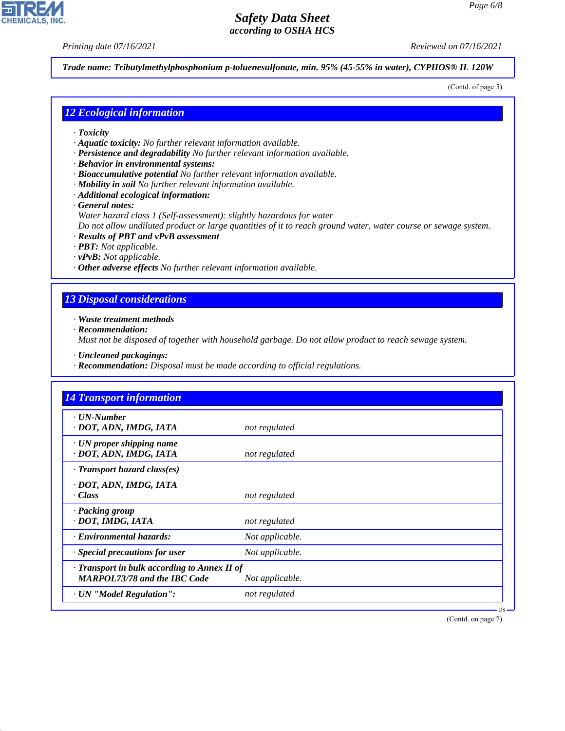*Printing date 07/16/2021 Reviewed on 07/16/2021*

**CHEMICALS, INC** 

*Trade name: Tributylmethylphosphonium p-toluenesulfonate, min. 95% (45-55% in water), CYPHOS® IL 120W*

(Contd. of page 5)

## *12 Ecological information*

- *· Toxicity*
- *· Aquatic toxicity: No further relevant information available.*
- *· Persistence and degradability No further relevant information available.*
- *· Behavior in environmental systems:*
- *· Bioaccumulative potential No further relevant information available.*
- *· Mobility in soil No further relevant information available.*
- *· Additional ecological information:*

*· General notes:*

*Water hazard class 1 (Self-assessment): slightly hazardous for water*

*Do not allow undiluted product or large quantities of it to reach ground water, water course or sewage system.*

- *· Results of PBT and vPvB assessment*
- *· PBT: Not applicable.*
- *· vPvB: Not applicable.*
- *· Other adverse effects No further relevant information available.*

## *13 Disposal considerations*

*· Waste treatment methods*

*· Recommendation:*

44.1.1

*Must not be disposed of together with household garbage. Do not allow product to reach sewage system.*

- *· Uncleaned packagings:*
- *· Recommendation: Disposal must be made according to official regulations.*

| <b>14 Transport information</b>                                                     |                 |  |
|-------------------------------------------------------------------------------------|-----------------|--|
| $\cdot$ UN-Number<br>· DOT, ADN, IMDG, IATA                                         | not regulated   |  |
| $\cdot$ UN proper shipping name<br>· DOT, ADN, IMDG, IATA                           | not regulated   |  |
| · Transport hazard class(es)                                                        |                 |  |
| · DOT, ADN, IMDG, IATA<br>· Class                                                   | not regulated   |  |
| · Packing group<br>· DOT, IMDG, IATA                                                | not regulated   |  |
| · Environmental hazards:                                                            | Not applicable. |  |
| $\cdot$ Special precautions for user                                                | Not applicable. |  |
| · Transport in bulk according to Annex II of<br><b>MARPOL73/78 and the IBC Code</b> | Not applicable. |  |
| · UN "Model Regulation":                                                            | not regulated   |  |

(Contd. on page 7)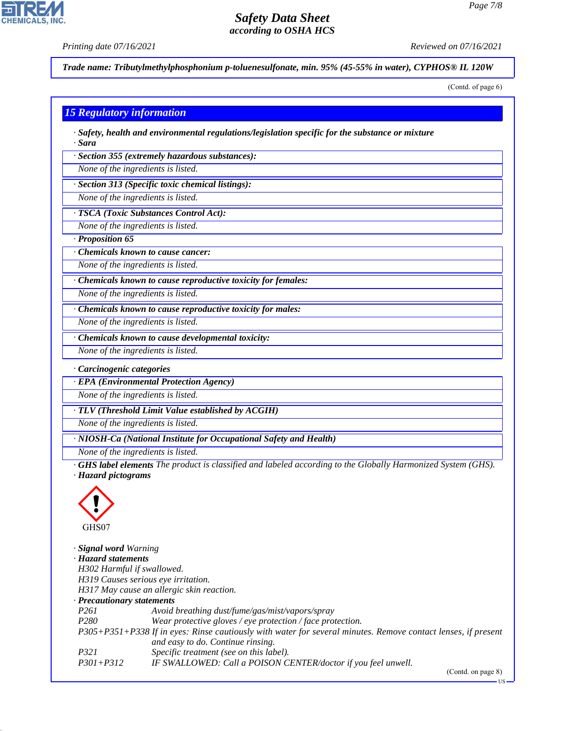*Printing date 07/16/2021 Reviewed on 07/16/2021*

**CHEMICALS, INC** 

*Trade name: Tributylmethylphosphonium p-toluenesulfonate, min. 95% (45-55% in water), CYPHOS® IL 120W*

(Contd. of page 6)

## *15 Regulatory information*

*· Safety, health and environmental regulations/legislation specific for the substance or mixture · Sara*

*· Section 355 (extremely hazardous substances):*

*None of the ingredients is listed.*

*· Section 313 (Specific toxic chemical listings):*

*None of the ingredients is listed.*

*· TSCA (Toxic Substances Control Act):*

*None of the ingredients is listed.*

*· Proposition 65*

*· Chemicals known to cause cancer:*

*None of the ingredients is listed.*

*· Chemicals known to cause reproductive toxicity for females:*

*None of the ingredients is listed.*

*· Chemicals known to cause reproductive toxicity for males:*

*None of the ingredients is listed.*

*· Chemicals known to cause developmental toxicity:*

*None of the ingredients is listed.*

*· Carcinogenic categories*

*· EPA (Environmental Protection Agency)*

*None of the ingredients is listed.*

*· TLV (Threshold Limit Value established by ACGIH)*

*None of the ingredients is listed.*

*· NIOSH-Ca (National Institute for Occupational Safety and Health)*

*None of the ingredients is listed.*

*· GHS label elements The product is classified and labeled according to the Globally Harmonized System (GHS). · Hazard pictograms*



44.1.1

*· Signal word Warning · Hazard statements H302 Harmful if swallowed. H319 Causes serious eye irritation. H317 May cause an allergic skin reaction. · Precautionary statements P261 Avoid breathing dust/fume/gas/mist/vapors/spray P280 Wear protective gloves / eye protection / face protection. P305+P351+P338 If in eyes: Rinse cautiously with water for several minutes. Remove contact lenses, if present and easy to do. Continue rinsing. P321 Specific treatment (see on this label). P301+P312 IF SWALLOWED: Call a POISON CENTER/doctor if you feel unwell.*

(Contd. on page 8)

US